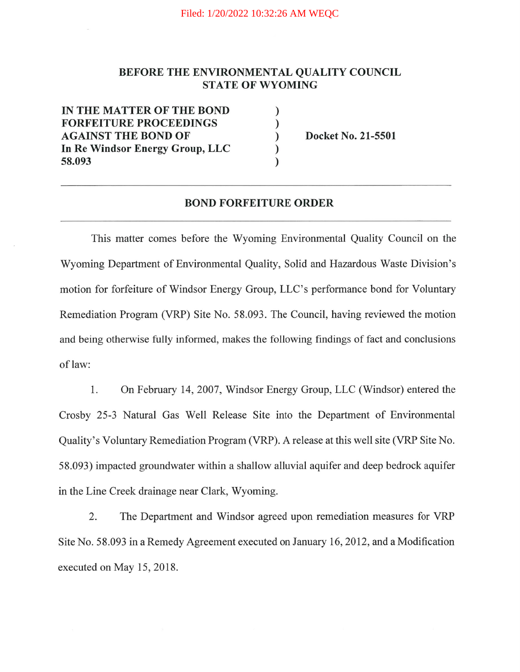## BEFORE THE ENVIRONMENTAL QUALITY COUNCIL STATE OF WYOMING

) ) ) ) )

IN THE MATTER OF THE BOND FORFEITURE PROCEEDINGS AGAINST THE BOND OF In Re Windsor Energy Group, LLC 58.093

Docket No. 21-5501

## BOND FORFEITURE ORDER

This matter comes before the Wyoming Environmental Quality Council on the Wyoming Department of Environmental Quality, Solid and Hazardous Waste Division's motion for forfeiture of Windsor Energy Group, LLC's performance bond for Voluntary Remediation Program (VRP) Site No. 58.093. The Council, having reviewed the motion and being otherwise fully informed, makes the following findings of fact and conclusions of law:

1. On February 14, 2007, Windsor Energy Group, LLC (Windsor) entered the Crosby 25-3 Natural Gas Well Release Site into the Department of Environmental Quality's Voluntary Remediation Program (VRP). A release at this well site (VRP Site No. 58.093) impacted groundwater within a shallow alluvial aquifer and deep bedrock aquifer in the Line Creek drainage near Clark, Wyoming.

2. The Department and Windsor agreed upon remediation measures for VRP Site No. 58.093 in a Remedy Agreement executed on January 16, 2012, and a Modification executed on May 15, 2018.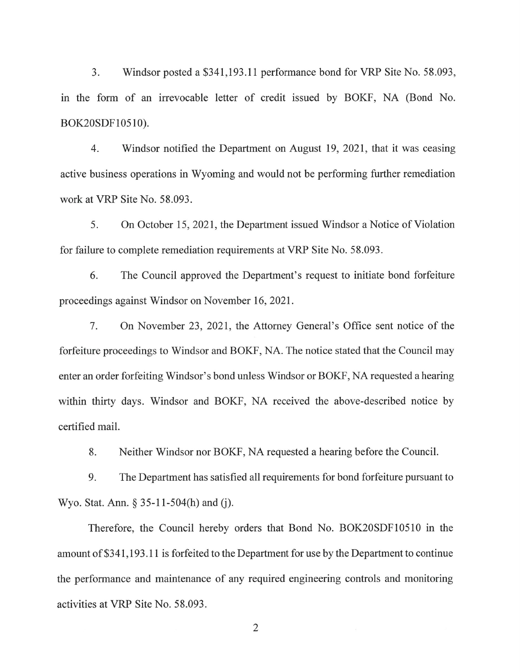3. Windsor posted a \$341,193.11 performance bond for VRP Site No. 58.093, in the form of an irrevocable letter of credit issued by BOKF, NA (Bond No. BOK20SDF10510).

4. Windsor notified the Department on August 19, 2021, that it was ceasing active business operations in Wyoming and would not be performing further remediation work at VRP Site No. 58.093.

5. On October 15, 2021, the Department issued Windsor a Notice of Violation for failure to complete remediation requirements at VRP Site No. 58.093.

6. The Council approved the Department's request to initiate bond forfeiture proceedings against Windsor on November 16,2021.

7. On November 23, 2021, the Attorney General's Office sent notice of the forfeiture proceedings to Windsor and BOKF, NA. The notice stated that the Council may enter an order forfeiting Windsor's bond unless Windsor or BOKF, NA requested a hearing within thirty days. Windsor and BOKF, NA received the above-described notice by certified mail.

8. Neither Windsor nor BOKF, NA requested a hearing before the Council.

9. The Department has satisfied all requirements for bond forfeiture pursuant to Wyo. Stat. Ann. § 35-1 l-504(h) and (j).

Therefore, the Council hereby orders that Bond No. BOK20SDF10510 in the amount of\$341,193.11 is forfeited to the Department for use by the Department to continue the performance and maintenance of any required engineering controls and monitoring activities at VRP Site No. 58.093.

2